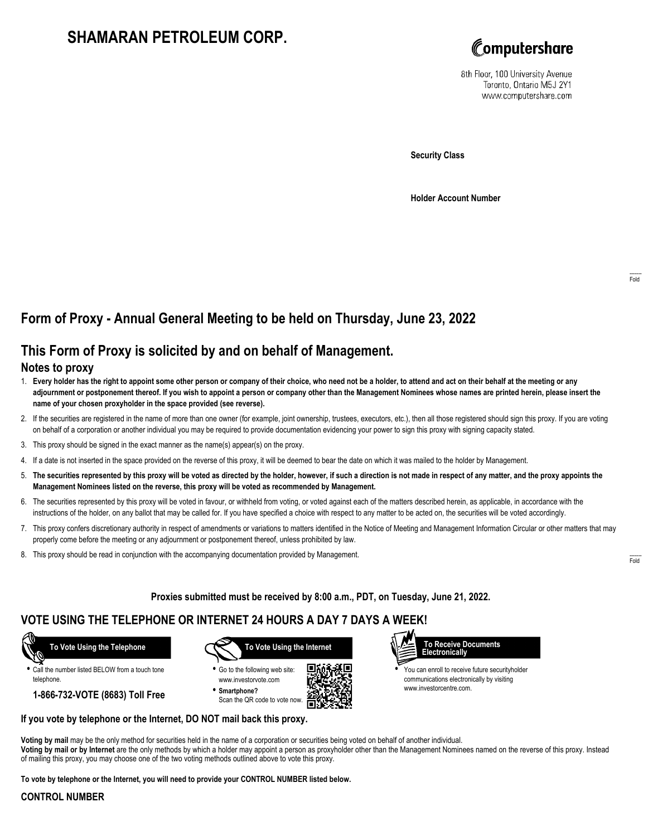# **SHAMARAN PETROLEUM CORP.**



8th Floor, 100 University Avenue Toronto, Ontario M5J 2Y1 www.computershare.com

**Security Class**

**Holder Account Number**

## **Form of Proxy - Annual General Meeting to be held on Thursday, June 23, 2022**

## **This Form of Proxy is solicited by and on behalf of Management.**

### **Notes to proxy**

- 1. **Every holder has the right to appoint some other person or company of their choice, who need not be a holder, to attend and act on their behalf at the meeting or any adjournment or postponement thereof. If you wish to appoint a person or company other than the Management Nominees whose names are printed herein, please insert the name of your chosen proxyholder in the space provided (see reverse).**
- 2. If the securities are registered in the name of more than one owner (for example, joint ownership, trustees, executors, etc.), then all those registered should sign this proxy. If you are voting on behalf of a corporation or another individual you may be required to provide documentation evidencing your power to sign this proxy with signing capacity stated.
- 3. This proxy should be signed in the exact manner as the name(s) appear(s) on the proxy.
- 4. If a date is not inserted in the space provided on the reverse of this proxy, it will be deemed to bear the date on which it was mailed to the holder by Management.
- 5. **The securities represented by this proxy will be voted as directed by the holder, however, if such a direction is not made in respect of any matter, and the proxy appoints the Management Nominees listed on the reverse, this proxy will be voted as recommended by Management.**
- 6. The securities represented by this proxy will be voted in favour, or withheld from voting, or voted against each of the matters described herein, as applicable, in accordance with the instructions of the holder, on any ballot that may be called for. If you have specified a choice with respect to any matter to be acted on, the securities will be voted accordingly.
- 7. This proxy confers discretionary authority in respect of amendments or variations to matters identified in the Notice of Meeting and Management Information Circular or other matters that may properly come before the meeting or any adjournment or postponement thereof, unless prohibited by law.
- 8. This proxy should be read in conjunction with the accompanying documentation provided by Management.

**Proxies submitted must be received by 8:00 a.m., PDT, on Tuesday, June 21, 2022.**

## **VOTE USING THE TELEPHONE OR INTERNET 24 HOURS A DAY 7 DAYS A WEEK!**

 **To Vote Using the Telephone**

**•** Call the number listed BELOW from a touch tone telephone.

**1-866-732-VOTE (8683) Toll Free**



**•** Go to the following web site: www.investorvote.com **• Smartphone?**

Scan the QR code to vote now.





**•** You can enroll to receive future securityholder communications electronically by visiting www.investorcentre.com.

#### **If you vote by telephone or the Internet, DO NOT mail back this proxy.**

**Voting by mail** may be the only method for securities held in the name of a corporation or securities being voted on behalf of another individual. **Voting by mail or by Internet** are the only methods by which a holder may appoint a person as proxyholder other than the Management Nominees named on the reverse of this proxy. Instead of mailing this proxy, you may choose one of the two voting methods outlined above to vote this proxy.

**To vote by telephone or the Internet, you will need to provide your CONTROL NUMBER listed below.**

#### **CONTROL NUMBER**